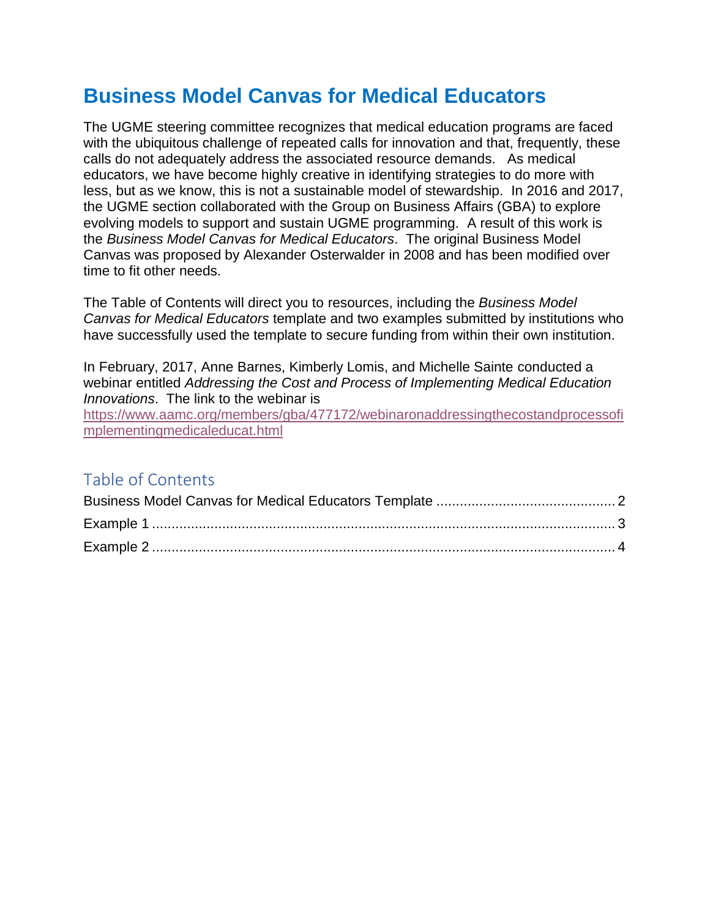# **Business Model Canvas for Medical Educators**

The UGME steering committee recognizes that medical education programs are faced with the ubiquitous challenge of repeated calls for innovation and that, frequently, these calls do not adequately address the associated resource demands. As medical educators, we have become highly creative in identifying strategies to do more with less, but as we know, this is not a sustainable model of stewardship. In 2016 and 2017, the UGME section collaborated with the Group on Business Affairs (GBA) to explore evolving models to support and sustain UGME programming. A result of this work is the *Business Model Canvas for Medical Educators*. The original Business Model Canvas was proposed by Alexander Osterwalder in 2008 and has been modified over time to fit other needs.

The Table of Contents will direct you to resources, including the *Business Model Canvas for Medical Educators* template and two examples submitted by institutions who have successfully used the template to secure funding from within their own institution.

In February, 2017, Anne Barnes, Kimberly Lomis, and Michelle Sainte conducted a webinar entitled *Addressing the Cost and Process of Implementing Medical Education Innovations*. The link to the webinar is

[https://www.aamc.org/members/gba/477172/webinaronaddressingthecostandprocessofi](https://www.aamc.org/members/gba/477172/webinaronaddressingthecostandprocessofimplementingmedicaleducat.html) [mplementingmedicaleducat.html](https://www.aamc.org/members/gba/477172/webinaronaddressingthecostandprocessofimplementingmedicaleducat.html)

## Table of Contents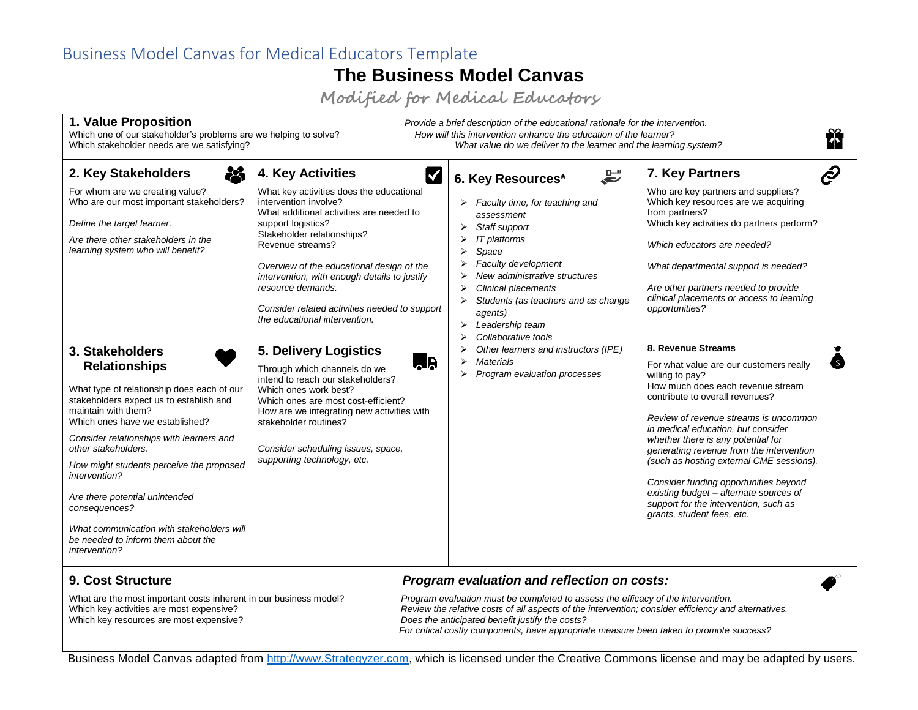### Business Model Canvas for Medical Educators Template

# **The Business Model Canvas**

**Modified for Medical Educators**

<span id="page-1-0"></span>

| 1. Value Proposition<br>Provide a brief description of the educational rationale for the intervention.<br>Which one of our stakeholder's problems are we helping to solve?<br>How will this intervention enhance the education of the learner?<br>Which stakeholder needs are we satisfying?<br>What value do we deliver to the learner and the learning system?                                                                                                                  |                                                                                                                                                                                                                                                                                                                                                                                                                            |                                                                                                                                                                                                                                                                                                                                                                                                                                           |                                                                                                                                                                                                                                                                                                                                                                                                                                                                                                                                 |  |  |  |  |
|-----------------------------------------------------------------------------------------------------------------------------------------------------------------------------------------------------------------------------------------------------------------------------------------------------------------------------------------------------------------------------------------------------------------------------------------------------------------------------------|----------------------------------------------------------------------------------------------------------------------------------------------------------------------------------------------------------------------------------------------------------------------------------------------------------------------------------------------------------------------------------------------------------------------------|-------------------------------------------------------------------------------------------------------------------------------------------------------------------------------------------------------------------------------------------------------------------------------------------------------------------------------------------------------------------------------------------------------------------------------------------|---------------------------------------------------------------------------------------------------------------------------------------------------------------------------------------------------------------------------------------------------------------------------------------------------------------------------------------------------------------------------------------------------------------------------------------------------------------------------------------------------------------------------------|--|--|--|--|
| 惢<br>2. Key Stakeholders<br>For whom are we creating value?<br>Who are our most important stakeholders?<br>Define the target learner.<br>Are there other stakeholders in the<br>learning system who will benefit?                                                                                                                                                                                                                                                                 | 4. Key Activities<br><b>K</b><br>What key activities does the educational<br>intervention involve?<br>What additional activities are needed to<br>support logistics?<br>Stakeholder relationships?<br>Revenue streams?<br>Overview of the educational design of the<br>intervention, with enough details to justify<br>resource demands.<br>Consider related activities needed to support<br>the educational intervention. | $\mathbf{E}$<br>6. Key Resources*<br>$\triangleright$ Faculty time, for teaching and<br>assessment<br>Staff support<br>⋗<br>IT platforms<br>Space<br>Faculty development<br>New administrative structures<br><b>Clinical placements</b><br>Students (as teachers and as change<br>agents)<br>Leadership team<br>Collaborative tools<br>Other learners and instructors (IPE)<br><b>Materials</b><br>↘<br>Program evaluation processes<br>⋗ | t D<br>7. Key Partners<br>Who are key partners and suppliers?<br>Which key resources are we acquiring<br>from partners?<br>Which key activities do partners perform?<br>Which educators are needed?<br>What departmental support is needed?<br>Are other partners needed to provide<br>clinical placements or access to learning<br>opportunities?                                                                                                                                                                              |  |  |  |  |
| 3. Stakeholders<br><b>Relationships</b><br>What type of relationship does each of our<br>stakeholders expect us to establish and<br>maintain with them?<br>Which ones have we established?<br>Consider relationships with learners and<br>other stakeholders.<br>How might students perceive the proposed<br>intervention?<br>Are there potential unintended<br>consequences?<br>What communication with stakeholders will<br>be needed to inform them about the<br>intervention? | <b>5. Delivery Logistics</b><br><b>AR</b><br>Through which channels do we<br>intend to reach our stakeholders?<br>Which ones work best?<br>Which ones are most cost-efficient?<br>How are we integrating new activities with<br>stakeholder routines?<br>Consider scheduling issues, space,<br>supporting technology, etc.                                                                                                 |                                                                                                                                                                                                                                                                                                                                                                                                                                           | 8. Revenue Streams<br>For what value are our customers really<br>willing to pay?<br>How much does each revenue stream<br>contribute to overall revenues?<br>Review of revenue streams is uncommon<br>in medical education, but consider<br>whether there is any potential for<br>generating revenue from the intervention<br>(such as hosting external CME sessions).<br>Consider funding opportunities beyond<br>existing budget - alternate sources of<br>support for the intervention, such as<br>grants, student fees, etc. |  |  |  |  |

**9. Cost Structure** *Program evaluation and reflection on costs:*

Which key resources are most expensive? *Does the anticipated benefit justify the costs?*

What are the most important costs inherent in our business model?<br>*Program evaluation must be completed to assess the efficacy of the intervention*.<br>*Review the relative costs of all aspects of the intervention; consider e* Review the relative costs of all aspects of the intervention; consider efficiency and alternatives. *For critical costly components, have appropriate measure been taken to promote success?*

Business Model Canvas adapted from [http://www.Strategyzer.com,](http://www.strategyzer.com/) which is licensed under the Creative Commons license and may be adapted by users.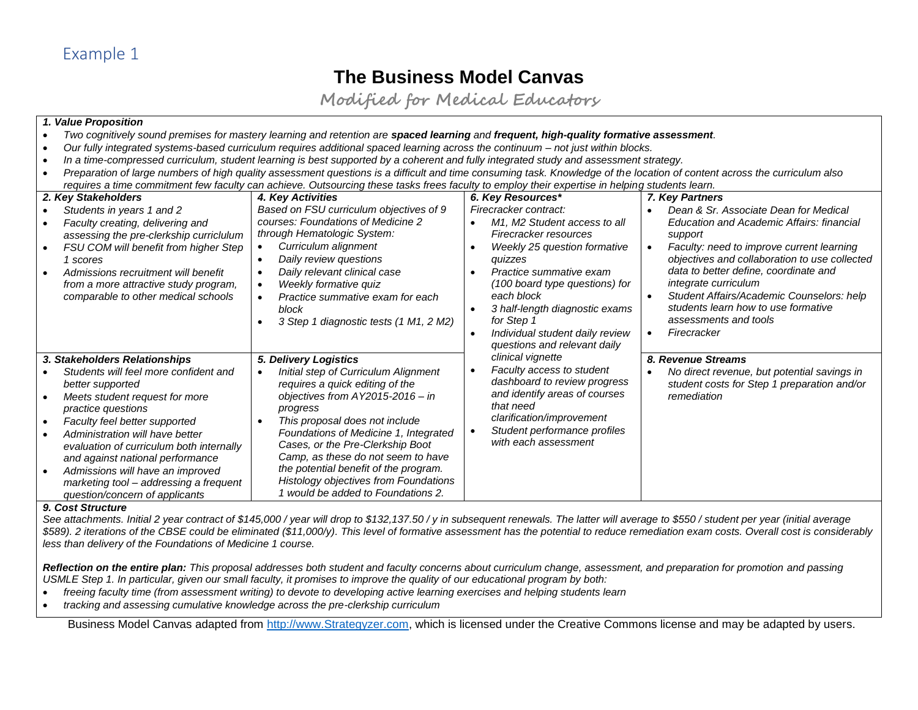# **The Business Model Canvas**

**Modified for Medical Educators**

#### *1. Value Proposition*

- *Two cognitively sound premises for mastery learning and retention are spaced learning and frequent, high-quality formative assessment.*
- *Our fully integrated systems-based curriculum requires additional spaced learning across the continuum – not just within blocks.*
- *In a time-compressed curriculum, student learning is best supported by a coherent and fully integrated study and assessment strategy.*
- *Preparation of large numbers of high quality assessment questions is a difficult and time consuming task. Knowledge of the location of content across the curriculum also requires a time commitment few faculty can achieve. Outsourcing these tasks frees faculty to employ their expertise in helping students learn.*

<span id="page-2-0"></span>

| 2. Key Stakeholders                                                                                                                                                                                                                                                                                                                                                                                                                       | 4. Key Activities                                                                                                                                                                                                                                                                                                                                                                                      | 6. Key Resources*                                                                                                                                                                                                                                                                                                       | 7. Key Partners                                                                                                                                                                                                                                                                                                                                                                          |
|-------------------------------------------------------------------------------------------------------------------------------------------------------------------------------------------------------------------------------------------------------------------------------------------------------------------------------------------------------------------------------------------------------------------------------------------|--------------------------------------------------------------------------------------------------------------------------------------------------------------------------------------------------------------------------------------------------------------------------------------------------------------------------------------------------------------------------------------------------------|-------------------------------------------------------------------------------------------------------------------------------------------------------------------------------------------------------------------------------------------------------------------------------------------------------------------------|------------------------------------------------------------------------------------------------------------------------------------------------------------------------------------------------------------------------------------------------------------------------------------------------------------------------------------------------------------------------------------------|
| Students in years 1 and 2<br>Faculty creating, delivering and<br>assessing the pre-clerkship curriclulum<br>FSU COM will benefit from higher Step<br>$\bullet$<br>1 scores<br>Admissions recruitment will benefit<br>from a more attractive study program,<br>comparable to other medical schools                                                                                                                                         | Based on FSU curriculum objectives of 9<br>courses: Foundations of Medicine 2<br>through Hematologic System:<br>Curriculum alignment<br>Daily review questions<br>Daily relevant clinical case<br>Weekly formative quiz<br>Practice summative exam for each<br>block<br>3 Step 1 diagnostic tests (1 M1, 2 M2)                                                                                         | Firecracker contract:<br>M1, M2 Student access to all<br>Firecracker resources<br>Weekly 25 question formative<br>quizzes<br>Practice summative exam<br>(100 board type questions) for<br>each block<br>3 half-length diagnostic exams<br>for Step 1<br>Individual student daily review<br>questions and relevant daily | Dean & Sr. Associate Dean for Medical<br>Education and Academic Affairs: financial<br>support<br>Faculty: need to improve current learning<br>objectives and collaboration to use collected<br>data to better define, coordinate and<br>integrate curriculum<br>Student Affairs/Academic Counselors: help<br>students learn how to use formative<br>assessments and tools<br>Firecracker |
| 3. Stakeholders Relationships                                                                                                                                                                                                                                                                                                                                                                                                             | 5. Delivery Logistics                                                                                                                                                                                                                                                                                                                                                                                  | clinical vignette                                                                                                                                                                                                                                                                                                       | 8. Revenue Streams                                                                                                                                                                                                                                                                                                                                                                       |
| Students will feel more confident and<br>better supported<br>Meets student request for more<br>$\bullet$<br>practice questions<br>Faculty feel better supported<br>$\bullet$<br>Administration will have better<br>$\bullet$<br>evaluation of curriculum both internally<br>and against national performance<br>Admissions will have an improved<br>$\bullet$<br>marketing tool - addressing a frequent<br>question/concern of applicants | Initial step of Curriculum Alignment<br>requires a quick editing of the<br>objectives from $AY2015-2016 - in$<br>progress<br>This proposal does not include<br>Foundations of Medicine 1, Integrated<br>Cases, or the Pre-Clerkship Boot<br>Camp, as these do not seem to have<br>the potential benefit of the program.<br>Histology objectives from Foundations<br>1 would be added to Foundations 2. | Faculty access to student<br>dashboard to review progress<br>and identify areas of courses<br>that need<br>clarification/improvement<br>Student performance profiles<br>with each assessment                                                                                                                            | No direct revenue, but potential savings in<br>$\bullet$<br>student costs for Step 1 preparation and/or<br>remediation                                                                                                                                                                                                                                                                   |

#### *9. Cost Structure*

See attachments. Initial 2 year contract of \$145,000 / year will drop to \$132,137.50 / y in subsequent renewals. The latter will average to \$550 / student per year (initial average *\$589). 2 iterations of the CBSE could be eliminated (\$11,000/y). This level of formative assessment has the potential to reduce remediation exam costs. Overall cost is considerably less than delivery of the Foundations of Medicine 1 course.*

*Reflection on the entire plan: This proposal addresses both student and faculty concerns about curriculum change, assessment, and preparation for promotion and passing USMLE Step 1. In particular, given our small faculty, it promises to improve the quality of our educational program by both:*

- *freeing faculty time (from assessment writing) to devote to developing active learning exercises and helping students learn*
- *tracking and assessing cumulative knowledge across the pre-clerkship curriculum*

Business Model Canvas adapted from [http://www.Strategyzer.com,](http://www.strategyzer.com/) which is licensed under the Creative Commons license and may be adapted by users.